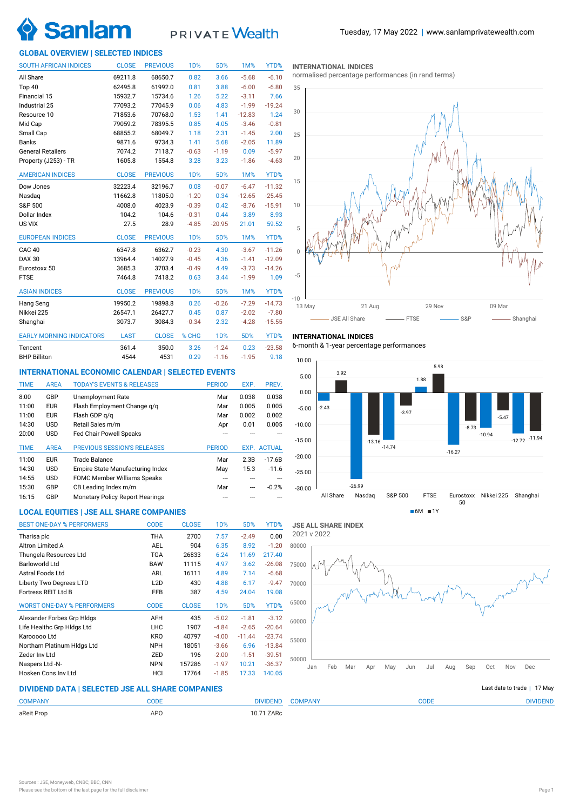

# PRIVATE Wealth

# **GLOBAL OVERVIEW | SELECTED INDICES**

| <b>SOUTH AFRICAN INDICES</b>    | <b>CLOSE</b> | <b>PREVIOUS</b> | 1D%              | 5D%        | 1M%      | YTD%     |
|---------------------------------|--------------|-----------------|------------------|------------|----------|----------|
| All Share                       | 69211.8      | 68650.7         | 0.82             | 3.66       | $-5.68$  | $-6.10$  |
| Top 40                          | 62495.8      | 61992.0         | 0.81             | 3.88       | $-6.00$  | $-6.80$  |
| Financial 15                    | 15932.7      | 15734.6         | 1.26             | 5.22       | $-3.11$  | 7.66     |
| Industrial 25                   | 77093.2      | 77045.9         | 0.06             | 4.83       | $-1.99$  | $-19.24$ |
| Resource 10                     | 71853.6      | 70768.0         | 1.53             | 1.41       | $-12.83$ | 1.24     |
| Mid Cap                         | 79059.2      | 78395.5         | 0.85             | 4.05       | $-3.46$  | $-0.81$  |
| Small Cap                       | 68855.2      | 68049.7         | 1.18             | 2.31       | $-1.45$  | 2.00     |
| <b>Banks</b>                    | 9871.6       | 9734.3          | 1.41             | 5.68       | $-2.05$  | 11.89    |
| <b>General Retailers</b>        | 7074.2       | 7118.7          | $-0.63$          | $-1.19$    | 0.09     | $-5.97$  |
| Property (J253) - TR            | 1605.8       | 1554.8          | 3.28             | 3.23       | $-1.86$  | $-4.63$  |
| <b>AMERICAN INDICES</b>         | <b>CLOSE</b> | <b>PREVIOUS</b> | 1 <sub>D</sub> % | 5D%        | 1M%      | YTD%     |
| Dow Jones                       | 32223.4      | 32196.7         | 0.08             | $-0.07$    | $-6.47$  | $-11.32$ |
| Nasdag                          | 11662.8      | 11805.0         | $-1.20$          | 0.34       | $-12.65$ | $-25.45$ |
| S&P 500                         | 4008.0       | 4023.9          | $-0.39$          | 0.42       | $-8.76$  | $-15.91$ |
| Dollar Index                    | 104.2        | 104.6           | $-0.31$          | 0.44       | 3.89     | 8.93     |
| US VIX                          | 27.5         | 28.9            | $-4.85$          | $-20.95$   | 21.01    | 59.52    |
| <b>EUROPEAN INDICES</b>         | <b>CLOSE</b> | <b>PREVIOUS</b> | <b>1D%</b>       | 5D%        | 1M%      | YTD%     |
| <b>CAC 40</b>                   | 6347.8       | 6362.7          | $-0.23$          | 4.30       | $-3.67$  | $-11.26$ |
| <b>DAX 30</b>                   | 13964.4      | 14027.9         | $-0.45$          | 4.36       | $-1.41$  | $-12.09$ |
| Eurostoxx 50                    | 3685.3       | 3703.4          | $-0.49$          | 4.49       | $-3.73$  | $-14.26$ |
| <b>FTSE</b>                     | 7464.8       | 7418.2          | 0.63             | 3.44       | $-1.99$  | 1.09     |
| <b>ASIAN INDICES</b>            | <b>CLOSE</b> | <b>PREVIOUS</b> | <b>1D%</b>       | 5D%        | 1M%      | YTD%     |
| Hang Seng                       | 19950.2      | 19898.8         | 0.26             | $-0.26$    | $-7.29$  | $-14.73$ |
| Nikkei 225                      | 26547.1      | 26427.7         | 0.45             | 0.87       | $-2.02$  | $-7.80$  |
| Shanghai                        | 3073.7       | 3084.3          | $-0.34$          | 2.32       | $-4.28$  | $-15.55$ |
| <b>EARLY MORNING INDICATORS</b> | <b>LAST</b>  | <b>CLOSE</b>    | % CHG            | <b>1D%</b> | 5D%      | YTD%     |
| Tencent                         | 361.4        | 350.0           | 3.26             | $-1.24$    | 0.23     | $-23.58$ |
| <b>BHP Billiton</b>             | 4544         | 4531            | 0.29             | $-1.16$    | $-1.95$  | 9.18     |

# **INTERNATIONAL ECONOMIC CALENDAR | SELECTED EVENTS**

| <b>TIME</b> | <b>AREA</b> | <b>TODAY'S EVENTS &amp; RELEASES</b> | <b>PERIOD</b> | EXP.  | PREV.              |
|-------------|-------------|--------------------------------------|---------------|-------|--------------------|
| 8:00        | GBP         | Unemployment Rate                    | Mar           | 0.038 | 0.038              |
| 11:00       | <b>EUR</b>  | Flash Employment Change g/g          | Mar           | 0.005 | 0.005              |
| 11:00       | <b>EUR</b>  | Flash GDP g/g                        | Mar           | 0.002 | 0.002              |
| 14:30       | <b>USD</b>  | Retail Sales m/m                     | Apr           | 0.01  | 0.005              |
| 20:00       | <b>USD</b>  | <b>Fed Chair Powell Speaks</b>       |               |       |                    |
|             |             |                                      |               |       |                    |
| <b>TIME</b> | <b>AREA</b> | <b>PREVIOUS SESSION'S RELEASES</b>   | <b>PERIOD</b> |       | <b>EXP. ACTUAL</b> |
| 11:00       | <b>EUR</b>  | Trade Balance                        | Mar           | 2.3B  | $-17.6B$           |
| 14:30       | <b>USD</b>  | Empire State Manufacturing Index     | May           | 15.3  | $-11.6$            |
| 14:55       | <b>USD</b>  | <b>FOMC Member Williams Speaks</b>   |               |       |                    |
| 15:30       | GBP         | CB Leading Index m/m                 | Mar           | ---   | $-0.2%$            |

# **LOCAL EQUITIES | JSE ALL SHARE COMPANIES**

| <b>BEST ONE-DAY % PERFORMERS</b>  | <b>CODE</b>      | <b>CLOSE</b> | 1D%              | 5D%      | YTD%     |
|-----------------------------------|------------------|--------------|------------------|----------|----------|
| Tharisa plc                       | <b>THA</b>       | 2700         | 7.57             | $-2.49$  | 0.00     |
| Altron Limited A                  | AEL              | 904          | 6.35             | 8.92     | $-1.20$  |
| Thungela Resources Ltd            | <b>TGA</b>       | 26833        | 6.24             | 11.69    | 217.40   |
| <b>Barloworld Ltd</b>             | <b>BAW</b>       | 11115        | 4.97             | 3.62     | $-26.08$ |
| Astral Foods Ltd                  | <b>ARL</b>       | 16111        | 4.89             | 7.14     | $-6.68$  |
| Liberty Two Degrees LTD           | L <sub>2</sub> D | 430          | 4.88             | 6.17     | $-9.47$  |
| Fortress REIT Ltd B               | <b>FFB</b>       | 387          | 4.59             | 24.04    | 19.08    |
| <b>WORST ONE-DAY % PERFORMERS</b> | <b>CODE</b>      | <b>CLOSE</b> | 1 <sub>D</sub> % | 5D%      | YTD%     |
| Alexander Forbes Grp Hldgs        | AFH              | 435          | $-5.02$          | $-1.81$  | $-3.12$  |
| Life Healthc Grp Hidgs Ltd        | <b>LHC</b>       | 1907         | $-4.84$          | $-2.65$  | $-20.64$ |
| Karooooo Ltd                      | <b>KRO</b>       | 40797        | $-4.00$          | $-11.44$ | $-23.74$ |
| Northam Platinum HIdgs Ltd        | <b>NPH</b>       | 18051        | $-3.66$          | 6.96     | $-13.84$ |
| Zeder Inv Ltd                     | ZED              | 196          | $-2.00$          | $-1.51$  | $-39.51$ |
| Naspers Ltd -N-                   | <b>NPN</b>       | 157286       | $-1.97$          | 10.21    | $-36.37$ |
| Hosken Cons Inv Ltd               | HCI              | 17764        | $-1.85$          | 17.33    | 140.05   |

## **INTERNATIONAL INDICES**

normalised percentage performances (in rand terms)



# **INTERNATIONAL INDICES**

6-month & 1-year percentage performances





# **DIVIDEND DATA | SELECTED JSE ALL SHARE COMPANIES |**

| <b>COMPANY</b> | CODE            | <b>COMPANY</b><br><b>DIVIDEND</b>                       | <b>CODE</b> | <b>DIVIDEND</b> |
|----------------|-----------------|---------------------------------------------------------|-------------|-----------------|
| aReit Prop     | AP <sub>0</sub> | 10.71 ZARc<br>$\sim$ $\sim$ $\sim$ $\sim$ $\sim$ $\sim$ |             |                 |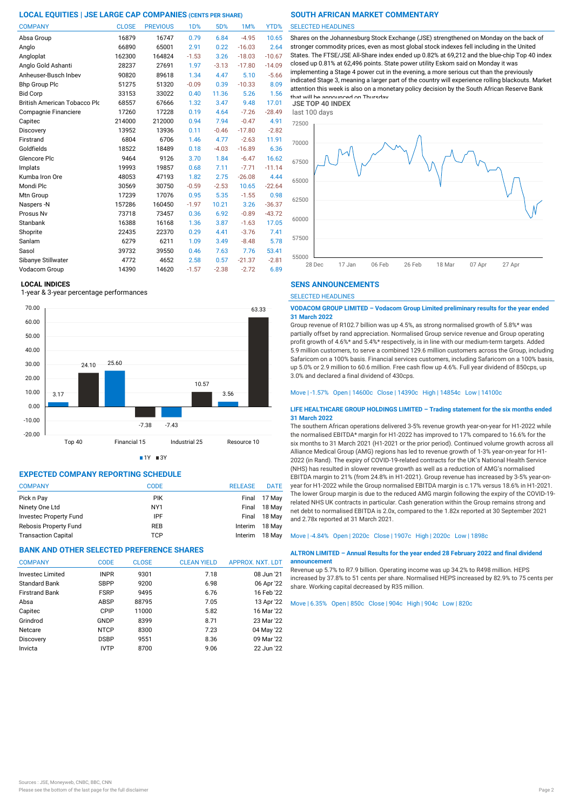| <b>COMPANY</b>                      | <b>CLOSE</b> | <b>PREVIOUS</b> | 1 <sub>D</sub> % | 5D%     | 1M%      | YTD%     |
|-------------------------------------|--------------|-----------------|------------------|---------|----------|----------|
| Absa Group                          | 16879        | 16747           | 0.79             | 6.84    | $-4.95$  | 10.65    |
| Anglo                               | 66890        | 65001           | 2.91             | 0.22    | $-16.03$ | 2.64     |
| Angloplat                           | 162300       | 164824          | $-1.53$          | 3.26    | $-18.03$ | $-10.67$ |
| Anglo Gold Ashanti                  | 28237        | 27691           | 1.97             | $-3.13$ | $-17.80$ | $-14.09$ |
| Anheuser-Busch Inbev                | 90820        | 89618           | 1.34             | 4.47    | 5.10     | $-5.66$  |
| <b>Bhp Group Plc</b>                | 51275        | 51320           | $-0.09$          | 0.39    | $-10.33$ | 8.09     |
| <b>Bid Corp</b>                     | 33153        | 33022           | 0.40             | 11.36   | 5.26     | 1.56     |
| <b>British American Tobacco Plo</b> | 68557        | 67666           | 1.32             | 3.47    | 9.48     | 17.01    |
| Compagnie Financiere                | 17260        | 17228           | 0.19             | 4.64    | $-7.26$  | $-28.49$ |
| Capitec                             | 214000       | 212000          | 0.94             | 7.94    | $-0.47$  | 4.91     |
| Discovery                           | 13952        | 13936           | 0.11             | $-0.46$ | $-17.80$ | $-2.82$  |
| Firstrand                           | 6804         | 6706            | 1.46             | 4.77    | $-2.63$  | 11.91    |
| Goldfields                          | 18522        | 18489           | 0.18             | $-4.03$ | $-16.89$ | 6.36     |
| Glencore Plc                        | 9464         | 9126            | 3.70             | 1.84    | $-6.47$  | 16.62    |
| Implats                             | 19993        | 19857           | 0.68             | 7.11    | $-7.71$  | $-11.14$ |
| Kumba Iron Ore                      | 48053        | 47193           | 1.82             | 2.75    | $-26.08$ | 4.44     |
| Mondi Plc                           | 30569        | 30750           | $-0.59$          | $-2.53$ | 10.65    | $-22.64$ |
| Mtn Group                           | 17239        | 17076           | 0.95             | 5.35    | $-1.55$  | 0.98     |
| Naspers-N                           | 157286       | 160450          | $-1.97$          | 10.21   | 3.26     | $-36.37$ |
| Prosus Nv                           | 73718        | 73457           | 0.36             | 6.92    | $-0.89$  | $-43.72$ |
| Stanbank                            | 16388        | 16168           | 1.36             | 3.87    | $-1.63$  | 17.05    |
| Shoprite                            | 22435        | 22370           | 0.29             | 4.41    | $-3.76$  | 7.41     |
| Sanlam                              | 6279         | 6211            | 1.09             | 3.49    | $-8.48$  | 5.78     |
| Sasol                               | 39732        | 39550           | 0.46             | 7.63    | 7.76     | 53.41    |
| Sibanye Stillwater                  | 4772         | 4652            | 2.58             | 0.57    | $-21.37$ | $-2.81$  |
| Vodacom Group                       | 14390        | 14620           | $-1.57$          | $-2.38$ | $-2.72$  | 6.89     |

# **LOCAL INDICES**

1-year & 3-year percentage performances



 $1Y = 3Y$ 

# **EXPECTED COMPANY REPORTING SCHEDULE**

| <b>COMPANY</b>             | <b>CODE</b>     | <b>RELEASE</b> | <b>DATE</b> |
|----------------------------|-----------------|----------------|-------------|
| Pick n Pay                 | <b>PIK</b>      | Final          | 17 May      |
| Ninety One Ltd             | NY <sub>1</sub> | Final          | 18 May      |
| Investec Property Fund     | IPF             | Final          | 18 May      |
| Rebosis Property Fund      | <b>REB</b>      | Interim        | 18 May      |
| <b>Transaction Capital</b> | TCP             | Interim        | 18 May      |

# **BANK AND OTHER SELECTED PREFERENCE SHARES**

| APPROX. NXT. LDT<br><b>CLEAN YIELD</b> |
|----------------------------------------|
| 08 Jun '21<br>7.18                     |
| 06 Apr '22<br>6.98                     |
| 16 Feb '22<br>6.76                     |
| 13 Apr '22<br>7.05                     |
| 16 Mar '22<br>5.82                     |
| 23 Mar '22<br>8.71                     |
| 7.23<br>04 May '22                     |
| 09 Mar '22<br>8.36                     |
| 9.06<br>22 Jun '22                     |
|                                        |

# SELECTED HEADLINES

Shares on the Johannesburg Stock Exchange (JSE) strengthened on Monday on the back of stronger commodity prices, even as most global stock indexes fell including in the United States. The FTSE/JSE All-Share index ended up 0.82% at 69,212 and the blue-chip Top 40 index closed up 0.81% at 62,496 points. State power utility Eskom said on Monday it was implementing a Stage 4 power cut in the evening, a more serious cut than the previously indicated Stage 3, meaning a larger part of the country will experience rolling blackouts. Market attention this week is also on a monetary policy decision by the South African Reserve Bank that will be announced on Thursday. **JSE TOP 40 INDEX**



# **SENS ANNOUNCEMENTS**

SELECTED HEADLINES

#### **VODACOM GROUP LIMITED – Vodacom Group Limited preliminary results for the year ended 31 March 2022**

Group revenue of R102.7 billion was up 4.5%, as strong normalised growth of 5.8%\* was partially offset by rand appreciation. Normalised Group service revenue and Group operating profit growth of 4.6%\* and 5.4%\* respectively, is in line with our medium-term targets. Added 5.9 million customers, to serve a combined 129.6 million customers across the Group, including Safaricom on a 100% basis. Financial services customers, including Safaricom on a 100% basis, up 5.0% or 2.9 million to 60.6 million. Free cash flow up 4.6%. Full year dividend of 850cps, up 3.0% and declared a final dividend of 430cps.

#### Move | -1.57% Open | 14600c Close | 14390c High | 14854c Low | 14100c

# **LIFE HEALTHCARE GROUP HOLDINGS LIMITED – Trading statement for the six months ended 31 March 2022**

The southern African operations delivered 3-5% revenue growth year-on-year for H1-2022 while the normalised EBITDA\* margin for H1-2022 has improved to 17% compared to 16.6% for the six months to 31 March 2021 (H1-2021 or the prior period). Continued volume growth across all Alliance Medical Group (AMG) regions has led to revenue growth of 1-3% year-on-year for H1- 2022 (in Rand). The expiry of COVID-19-related contracts for the UK's National Health Service (NHS) has resulted in slower revenue growth as well as a reduction of AMG's normalised EBITDA margin to 21% (from 24.8% in H1-2021). Group revenue has increased by 3-5% year-onyear for H1-2022 while the Group normalised EBITDA margin is c.17% versus 18.6% in H1-2021. The lower Group margin is due to the reduced AMG margin following the expiry of the COVID-19 related NHS UK contracts in particular. Cash generation within the Group remains strong and net debt to normalised EBITDA is 2.0x, compared to the 1.82x reported at 30 September 2021 and 2.78x reported at 31 March 2021.

## Move | -4.84% Open | 2020c Close | 1907c High | 2020c Low | 1898c

## **ALTRON LIMITED – Annual Results for the year ended 28 February 2022 and final dividend announcement**

Revenue up 5.7% to R7.9 billion. Operating income was up 34.2% to R498 million. HEPS increased by 37.8% to 51 cents per share. Normalised HEPS increased by 82.9% to 75 cents per share. Working capital decreased by R35 million.

Move | 6.35% Open | 850c Close | 904c High | 904c Low | 820c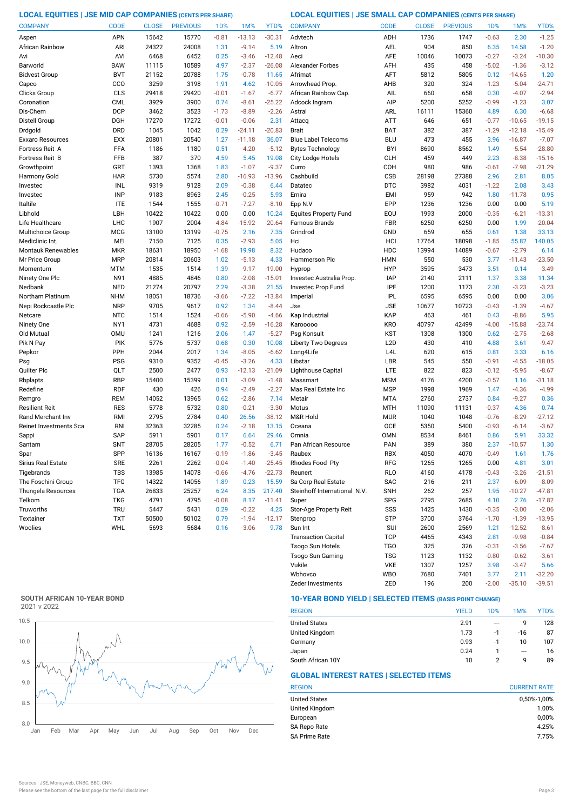# **LOCAL EQUITIES | JSE MID CAP COMPANIES (CENTS PER SHARE) LOCAL EQUITIES | JSE SMALL CAP COMPANIES (CENTS PER SHARE)**

| <b>COMPANY</b>            | <b>CODE</b> | <b>CLOSE</b> | <b>PREVIOUS</b> | 1 <sub>D</sub> % | 1M%      | YTD%     | <b>COMPANY</b>               | <b>CODE</b>      | <b>CLOSE</b> | <b>PREVIOUS</b> | 1D%     | 1M%      | YTD%     |
|---------------------------|-------------|--------------|-----------------|------------------|----------|----------|------------------------------|------------------|--------------|-----------------|---------|----------|----------|
| Aspen                     | APN         | 15642        | 15770           | $-0.81$          | $-13.13$ | $-30.31$ | Advtech                      | ADH              | 1736         | 1747            | $-0.63$ | 2.30     | $-1.25$  |
| African Rainbow           | ARI         | 24322        | 24008           | 1.31             | $-9.14$  | 5.19     | Altron                       | AEL              | 904          | 850             | 6.35    | 14.58    | $-1.20$  |
| Avi                       | AVI         | 6468         | 6452            | 0.25             | $-3.46$  | $-12.48$ | Aeci                         | <b>AFE</b>       | 10046        | 10073           | $-0.27$ | $-3.24$  | $-10.30$ |
| Barworld                  | <b>BAW</b>  | 11115        | 10589           | 4.97             | $-2.37$  | $-26.08$ | <b>Alexander Forbes</b>      | AFH              | 435          | 458             | $-5.02$ | $-1.36$  | $-3.12$  |
| <b>Bidvest Group</b>      | <b>BVT</b>  | 21152        | 20788           | 1.75             | $-0.78$  | 11.65    | Afrimat                      | AFT              | 5812         | 5805            | 0.12    | $-14.65$ | 1.20     |
| Capco                     | CCO         | 3259         | 3198            | 1.91             | 4.62     | $-10.05$ | Arrowhead Prop               | AHB              | 320          | 324             | $-1.23$ | $-5.04$  | $-24.71$ |
| Clicks Group              | CLS         | 29418        | 29420           | $-0.01$          | $-1.67$  | $-6.77$  | African Rainbow Cap.         | AIL              | 660          | 658             | 0.30    | $-4.07$  | $-2.94$  |
| Coronation                | <b>CML</b>  | 3929         | 3900            | 0.74             | $-8.61$  | $-25.22$ | Adcock Ingram                | AIP              | 5200         | 5252            | $-0.99$ | $-1.23$  | 3.07     |
| Dis-Chem                  | <b>DCP</b>  | 3462         | 3523            | $-1.73$          | $-8.89$  | $-2.26$  | Astral                       | ARL              | 16111        | 15360           | 4.89    | 6.30     | $-6.68$  |
| Distell Group             | DGH         | 17270        | 17272           | $-0.01$          | $-0.06$  | 2.31     | Attacq                       | <b>ATT</b>       | 646          | 651             | $-0.77$ | $-10.65$ | $-19.15$ |
| Drdgold                   | <b>DRD</b>  | 1045         | 1042            | 0.29             | $-24.11$ | $-20.83$ | <b>Brait</b>                 | <b>BAT</b>       | 382          | 387             | $-1.29$ | $-12.18$ | $-15.49$ |
| Exxaro Resources          | <b>EXX</b>  | 20801        | 20540           | 1.27             | $-11.18$ | 36.07    | <b>Blue Label Telecoms</b>   | <b>BLU</b>       | 473          | 455             | 3.96    | $-16.87$ | $-7.07$  |
| Fortress Reit A           | FFA         | 1186         | 1180            | 0.51             | $-4.20$  | $-5.12$  | <b>Bytes Technology</b>      | <b>BYI</b>       | 8690         | 8562            | 1.49    | $-5.54$  | $-28.80$ |
| Fortress Reit B           | <b>FFB</b>  | 387          | 370             | 4.59             | 5.45     | 19.08    | City Lodge Hotels            | <b>CLH</b>       | 459          | 449             | 2.23    | $-8.38$  | $-15.16$ |
| Growthpoint               | GRT         | 1393         | 1368            | 1.83             | $-1.07$  | $-9.37$  | Curro                        | COH              | 980          | 986             | $-0.61$ | $-7.98$  | $-21.29$ |
| Harmony Gold              | <b>HAR</b>  | 5730         | 5574            | 2.80             | $-16.93$ | $-13.96$ | Cashbuild                    | <b>CSB</b>       | 28198        | 27388           | 2.96    | 2.81     | 8.05     |
| Investec                  | INL         | 9319         | 9128            | 2.09             | $-0.38$  | 6.44     | Datatec                      | <b>DTC</b>       | 3982         | 4031            | $-1.22$ | 2.08     | 3.43     |
| Investec                  | <b>INP</b>  | 9183         | 8963            | 2.45             | $-0.25$  | 5.93     | Emira                        | <b>EMI</b>       | 959          | 942             | 1.80    | $-11.78$ | 0.95     |
| Italtile                  | <b>ITE</b>  | 1544         | 1555            | $-0.71$          | $-7.27$  | $-8.10$  | Epp N.V                      | EPP              | 1236         | 1236            | 0.00    | 0.00     | 5.19     |
| Libhold                   | LBH         | 10422        | 10422           | 0.00             | 0.00     | 10.24    | <b>Equites Property Fund</b> | EQU              | 1993         | 2000            | $-0.35$ | $-6.21$  | $-13.31$ |
| Life Healthcare           | LHC         | 1907         | 2004            | $-4.84$          | $-15.92$ | $-20.64$ | Famous Brands                | <b>FBR</b>       | 6250         | 6250            | 0.00    | 1.99     | $-20.04$ |
| Multichoice Group         | <b>MCG</b>  | 13100        | 13199           | $-0.75$          | 2.16     | 7.35     | Grindrod                     | GND              | 659          | 655             | 0.61    | 1.38     | 33.13    |
| Mediclinic Int.           | MEI         | 7150         | 7125            | 0.35             | $-2.93$  | 5.05     | Hci                          | HCI              | 17764        | 18098           | $-1.85$ | 55.82    | 140.05   |
| <b>Montauk Renewables</b> | <b>MKR</b>  | 18631        | 18950           | $-1.68$          | 19.98    | 8.32     | Hudaco                       | <b>HDC</b>       | 13994        | 14089           | $-0.67$ | $-2.79$  | 6.14     |
| Mr Price Group            | <b>MRP</b>  | 20814        | 20603           | 1.02             | $-5.13$  | 4.33     | Hammerson Plc                | <b>HMN</b>       | 550          | 530             | 3.77    | $-11.43$ | $-23.50$ |
| Momentum                  | MTM         | 1535         | 1514            | 1.39             | $-9.17$  | $-19.00$ | Hyprop                       | <b>HYP</b>       | 3595         | 3473            | 3.51    | 0.14     | $-3.49$  |
| Ninety One Plc            | N91         | 4885         | 4846            | 0.80             | $-2.08$  | $-15.01$ | Investec Australia Prop.     | <b>IAP</b>       | 2140         | 2111            | 1.37    | 3.38     | 11.34    |
| Nedbank                   | <b>NED</b>  | 21274        | 20797           | 2.29             | $-3.38$  | 21.55    | Investec Prop Fund           | IPF              | 1200         | 1173            | 2.30    | $-3.23$  | $-3.23$  |
| Northam Platinum          | <b>NHM</b>  | 18051        | 18736           | $-3.66$          | $-7.22$  | $-13.84$ | Imperial                     | <b>IPL</b>       | 6595         | 6595            | 0.00    | 0.00     | 3.06     |
| Nepi Rockcastle Plc       | <b>NRP</b>  | 9705         | 9617            | 0.92             | 1.34     | $-8.44$  | Jse                          | <b>JSE</b>       | 10677        | 10723           | $-0.43$ | $-1.39$  | $-4.67$  |
| Netcare                   | <b>NTC</b>  | 1514         | 1524            | $-0.66$          | $-5.90$  | $-4.66$  | Kap Industrial               | KAP              | 463          | 461             | 0.43    | $-8.86$  | 5.95     |
| Ninety One                | NY1         | 4731         | 4688            | 0.92             | $-2.59$  | $-16.28$ | Karooooo                     | <b>KRO</b>       | 40797        | 42499           | $-4.00$ | $-15.88$ | $-23.74$ |
| Old Mutual                | <b>OMU</b>  | 1241         | 1216            | 2.06             | 1.47     | $-5.27$  | Psg Konsult                  | <b>KST</b>       | 1308         | 1300            | 0.62    | $-2.75$  | $-2.68$  |
| Pik N Pay                 | PIK         | 5776         | 5737            | 0.68             | 0.30     | 10.08    | Liberty Two Degrees          | L <sub>2</sub> D | 430          | 410             | 4.88    | 3.61     | $-9.47$  |
| Pepkor                    | PPH         | 2044         | 2017            | 1.34             | $-8.05$  | $-6.62$  | Long4Life                    | L <sub>4</sub> L | 620          | 615             | 0.81    | 3.33     | 6.16     |
| Psg                       | <b>PSG</b>  | 9310         | 9352            | $-0.45$          | $-3.26$  | 4.33     | Libstar                      | LBR              | 545          | 550             | $-0.91$ | $-4.55$  | $-18.05$ |
| Quilter Plc               | QLT         | 2500         | 2477            | 0.93             | $-12.13$ | $-21.09$ | Lighthouse Capital           | LTE              | 822          | 823             | $-0.12$ | $-5.95$  | $-8.67$  |
| Rbplapts                  | <b>RBP</b>  | 15400        | 15399           | 0.01             | $-3.09$  | $-1.48$  | Massmart                     | <b>MSM</b>       | 4176         | 4200            | $-0.57$ | 1.16     | $-31.18$ |
| Redefine                  | <b>RDF</b>  | 430          | 426             | 0.94             | $-2.49$  | $-2.27$  | Mas Real Estate Inc          | <b>MSP</b>       | 1998         | 1969            | 1.47    | $-4.36$  | $-4.99$  |
| Remgro                    | <b>REM</b>  | 14052        | 13965           | 0.62             | $-2.86$  | 7.14     | Metair                       | <b>MTA</b>       | 2760         | 2737            | 0.84    | $-9.27$  | 0.36     |
| Resilient Reit            | <b>RES</b>  | 5778         | 5732            | 0.80             | $-0.21$  | $-3.30$  | Motus                        | <b>MTH</b>       | 11090        | 11131           | $-0.37$ | 4.36     | 0.74     |
| Rand Merchant Inv         | RMI         | 2795         | 2784            | 0.40             | 26.56    | $-38.12$ | M&R Hold                     | <b>MUR</b>       | 1040         | 1048            | $-0.76$ | $-8.29$  | $-27.12$ |
| Reinet Investments Sca    | <b>RNI</b>  | 32363        | 32285           | 0.24             | $-2.18$  | 13.15    | Oceana                       | <b>OCE</b>       | 5350         | 5400            | $-0.93$ | $-6.14$  | $-3.67$  |
| Sappi                     | <b>SAP</b>  | 5911         | 5901            | 0.17             | 6.64     | 29.46    | Omnia                        | <b>OMN</b>       | 8534         | 8461            | 0.86    | 5.91     | 33.32    |
| Santam                    | <b>SNT</b>  | 28705        | 28205           | 1.77             | $-0.52$  | 6.71     | Pan African Resource         | PAN              | 389          | 380             | 2.37    | $-10.57$ | 1.30     |
| Spar                      | SPP         | 16136        | 16167           | $-0.19$          | $-1.86$  | $-3.45$  | Raubex                       | <b>RBX</b>       | 4050         | 4070            | $-0.49$ | 1.61     | 1.76     |
| Sirius Real Estate        | <b>SRE</b>  | 2261         | 2262            | $-0.04$          | $-1.40$  | $-25.45$ | Rhodes Food Pty              | RFG              | 1265         | 1265            | 0.00    | 4.81     | 3.01     |
| Tigebrands                | <b>TBS</b>  | 13985        | 14078           | $-0.66$          | $-4.76$  | $-22.73$ | Reunert                      | <b>RLO</b>       | 4160         | 4178            | $-0.43$ | $-3.26$  | $-21.51$ |
| The Foschini Group        | <b>TFG</b>  | 14322        | 14056           | 1.89             | 0.23     | 15.59    | Sa Corp Real Estate          | SAC              | 216          | 211             | 2.37    | $-6.09$  | $-8.09$  |
| Thungela Resources        | <b>TGA</b>  | 26833        | 25257           | 6.24             | 8.35     | 217.40   | Steinhoff International N.V. | <b>SNH</b>       | 262          | 257             | 1.95    | $-10.27$ | $-47.81$ |
| Telkom                    | <b>TKG</b>  | 4791         | 4795            | $-0.08$          | 8.17     | $-11.41$ | Super                        | <b>SPG</b>       | 2795         | 2685            | 4.10    | 2.76     | $-17.82$ |
| Truworths                 | <b>TRU</b>  | 5447         | 5431            | 0.29             | $-0.22$  | 4.25     | Stor-Age Property Reit       | SSS              | 1425         | 1430            | $-0.35$ | $-3.00$  | $-2.06$  |
| Textainer                 | <b>TXT</b>  | 50500        | 50102           | 0.79             | $-1.94$  | $-12.17$ | Stenprop                     | STP              | 3700         | 3764            | $-1.70$ | $-1.39$  | $-13.95$ |
| Woolies                   | WHL         | 5693         | 5684            | 0.16             | $-3.06$  | 9.78     | Sun Int                      | SUI              | 2600         | 2569            | 1.21    | $-12.52$ | $-8.61$  |
|                           |             |              |                 |                  |          |          | <b>Transaction Capital</b>   | <b>TCP</b>       | 4465         | 4343            | 2.81    | $-9.98$  | $-0.84$  |
|                           |             |              |                 |                  |          |          | Tsogo Sun Hotels             | TGO              | 325          | 326             | $-0.31$ | $-3.56$  | $-7.67$  |

# **SOUTH AFRICAN 10-YEAR BOND**



# **10-YEAR BOND YIELD | SELECTED ITEMS (BASIS POINT CHANGE)**

| <b>REGION</b>        | <b>YIELD</b> | 1D% | 1M%     | YTD% |
|----------------------|--------------|-----|---------|------|
| <b>United States</b> | 2.91         | --- | 9       | 128  |
| United Kingdom       | 1.73         | -1  | $-16$   | 87   |
| Germany              | 0.93         | -1  | 10      | 107  |
| Japan                | 0.24         |     | $- - -$ | 16   |
| South African 10Y    | 10           |     | q       | 89   |

Zeder Investments ZED 196 200 -2.00 -35.10 -39.51

Wbhovco WBO 7680 7401 3.77 2.11 -32.20 Vukile VKE 1307 1257 3.98 -3.47

Tsogo Sun Gaming TSG 1123 1132 -0.80 -0.62 -3.61

# **GLOBAL INTEREST RATES | SELECTED ITEMS**

| <b>CURRENT RATE</b> |
|---------------------|
| 0,50%-1,00%         |
| 1.00%               |
| 0,00%               |
| 4.25%               |
| 7.75%               |
|                     |

 $5.66$ <br> $-32.20$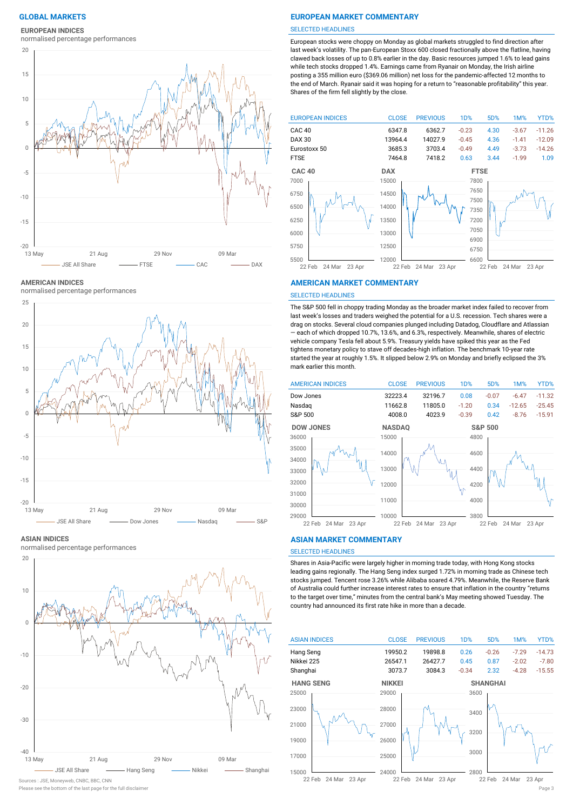# **EUROPEAN INDICES**

normalised percentage performances



**AMERICAN INDICES**

normalised percentage performances





normalised percentage performances



#### Please see the bottom of the last page for the full disclaimer Page 3 Sources : JSE, Moneyweb, CNBC, BBC, CNN

# **GLOBAL MARKETS EUROPEAN MARKET COMMENTARY**

#### SELECTED HEADLINES

European stocks were choppy on Monday as global markets struggled to find direction after last week's volatility. The pan-European Stoxx 600 closed fractionally above the flatline, having clawed back losses of up to 0.8% earlier in the day. Basic resources jumped 1.6% to lead gains while tech stocks dropped 1.4%. Earnings came from Ryanair on Monday, the Irish airline posting a 355 million euro (\$369.06 million) net loss for the pandemic-affected 12 months to the end of March. Ryanair said it was hoping for a return to "reasonable profitability" this year. Shares of the firm fell slightly by the close.



### **AMERICAN MARKET COMMENTARY**

#### SELECTED HEADLINES

The S&P 500 fell in choppy trading Monday as the broader market index failed to recover from last week's losses and traders weighed the potential for a U.S. recession. Tech shares were a drag on stocks. Several cloud companies plunged including Datadog, Cloudflare and Atlassian — each of which dropped 10.7%, 13.6%, and 6.3%, respectively. Meanwhile, shares of electric vehicle company Tesla fell about 5.9%. Treasury yields have spiked this year as the Fed tightens monetary policy to stave off decades-high inflation. The benchmark 10-year rate started the year at roughly 1.5%. It slipped below 2.9% on Monday and briefly eclipsed the 3% mark earlier this month.



#### **ASIAN MARKET COMMENTARY**

# SELECTED HEADLINES

Shares in Asia-Pacific were largely higher in morning trade today, with Hong Kong stocks leading gains regionally. The Hang Seng index surged 1.72% in morning trade as Chinese tech stocks jumped. Tencent rose 3.26% while Alibaba soared 4.79%. Meanwhile, the Reserve Bank of Australia could further increase interest rates to ensure that inflation in the country "returns to the target over time," minutes from the central bank's May meeting showed Tuesday. The country had announced its first rate hike in more than a decade.